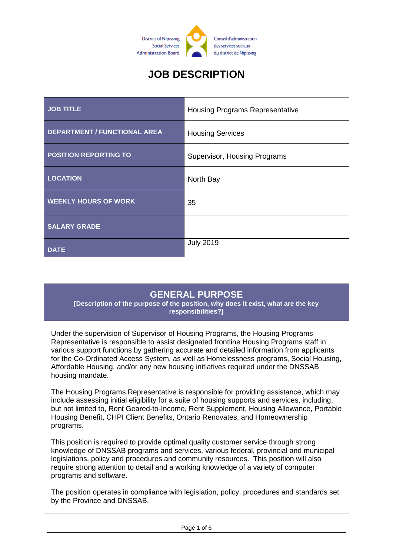

# **JOB DESCRIPTION**

| <b>JOB TITLE</b>                    | <b>Housing Programs Representative</b> |
|-------------------------------------|----------------------------------------|
| <b>DEPARTMENT / FUNCTIONAL AREA</b> | <b>Housing Services</b>                |
| <b>POSITION REPORTING TO</b>        | Supervisor, Housing Programs           |
| <b>LOCATION</b>                     | North Bay                              |
| <b>WEEKLY HOURS OF WORK</b>         | 35                                     |
| <b>SALARY GRADE</b>                 |                                        |
| <b>DATE</b>                         | <b>July 2019</b>                       |

### **GENERAL PURPOSE**

**[Description of the purpose of the position, why does it exist, what are the key responsibilities?]**

Under the supervision of Supervisor of Housing Programs, the Housing Programs Representative is responsible to assist designated frontline Housing Programs staff in various support functions by gathering accurate and detailed information from applicants for the Co-Ordinated Access System, as well as Homelessness programs, Social Housing, Affordable Housing, and/or any new housing initiatives required under the DNSSAB housing mandate.

The Housing Programs Representative is responsible for providing assistance, which may include assessing initial eligibility for a suite of housing supports and services, including, but not limited to, Rent Geared-to-Income, Rent Supplement, Housing Allowance, Portable Housing Benefit, CHPI Client Benefits, Ontario Renovates, and Homeownership programs.

This position is required to provide optimal quality customer service through strong knowledge of DNSSAB programs and services, various federal, provincial and municipal legislations, policy and procedures and community resources. This position will also require strong attention to detail and a working knowledge of a variety of computer programs and software.

The position operates in compliance with legislation, policy, procedures and standards set by the Province and DNSSAB.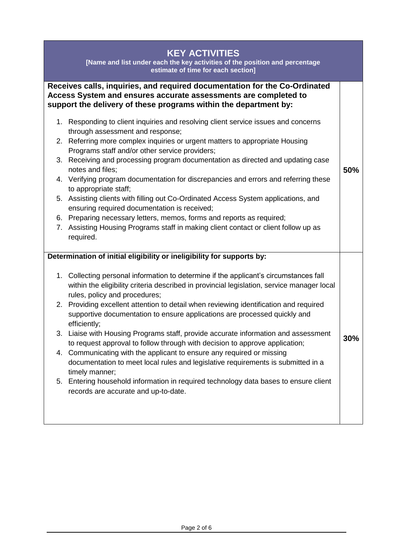## **KEY ACTIVITIES**

**[Name and list under each the key activities of the position and percentage estimate of time for each section]**

#### **Receives calls, inquiries, and required documentation for the Co-Ordinated Access System and ensures accurate assessments are completed to support the delivery of these programs within the department by:**

- 1. Responding to client inquiries and resolving client service issues and concerns through assessment and response;
- 2. Referring more complex inquiries or urgent matters to appropriate Housing Programs staff and/or other service providers;
- 3. Receiving and processing program documentation as directed and updating case notes and files;

**50%**

- 4. Verifying program documentation for discrepancies and errors and referring these to appropriate staff;
- 5. Assisting clients with filling out Co-Ordinated Access System applications, and ensuring required documentation is received;
- 6. Preparing necessary letters, memos, forms and reports as required;
- 7. Assisting Housing Programs staff in making client contact or client follow up as required.

#### **Determination of initial eligibility or ineligibility for supports by:**

- 1. Collecting personal information to determine if the applicant's circumstances fall within the eligibility criteria described in provincial legislation, service manager local rules, policy and procedures; 2. Providing excellent attention to detail when reviewing identification and required supportive documentation to ensure applications are processed quickly and
- efficiently; 3. Liaise with Housing Programs staff, provide accurate information and assessment to request approval to follow through with decision to approve application; **30%**
- 4. Communicating with the applicant to ensure any required or missing documentation to meet local rules and legislative requirements is submitted in a timely manner;
- 5. Entering household information in required technology data bases to ensure client records are accurate and up-to-date.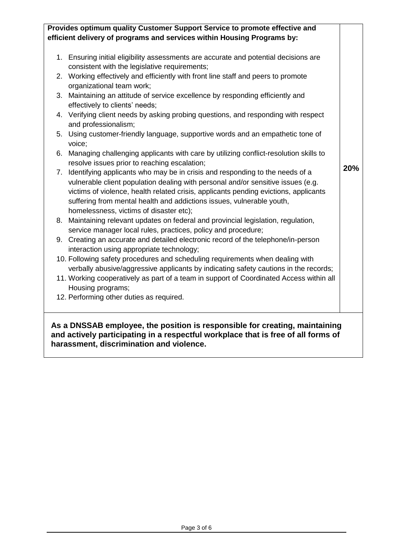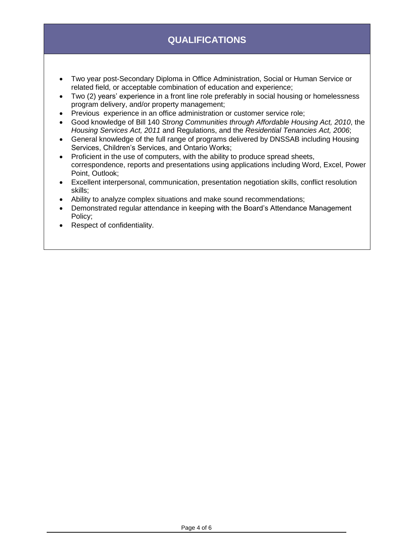# **QUALIFICATIONS**

- Two year post-Secondary Diploma in Office Administration, Social or Human Service or related field, or acceptable combination of education and experience;
- Two (2) years' experience in a front line role preferably in social housing or homelessness program delivery, and/or property management;
- Previous experience in an office administration or customer service role;
- Good knowledge of Bill 140 *Strong Communities through Affordable Housing Act, 2010*, the *Housing Services Act, 2011* and Regulations, and the *Residential Tenancies Act, 2006*;
- General knowledge of the full range of programs delivered by DNSSAB including Housing Services, Children's Services, and Ontario Works;
- Proficient in the use of computers, with the ability to produce spread sheets, correspondence, reports and presentations using applications including Word, Excel, Power Point, Outlook;
- Excellent interpersonal, communication, presentation negotiation skills, conflict resolution skills;
- Ability to analyze complex situations and make sound recommendations;
- Demonstrated regular attendance in keeping with the Board's Attendance Management Policy;
- Respect of confidentiality.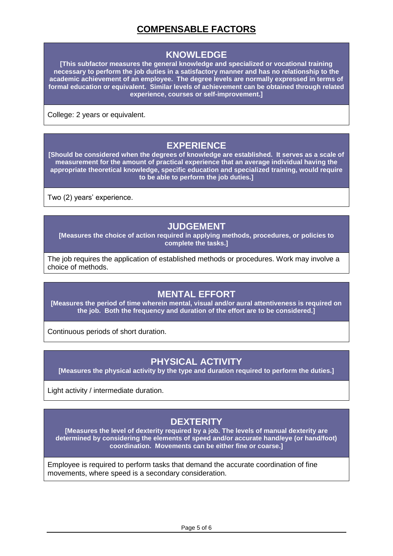# **COMPENSABLE FACTORS**

### **KNOWLEDGE**

**[This subfactor measures the general knowledge and specialized or vocational training necessary to perform the job duties in a satisfactory manner and has no relationship to the academic achievement of an employee. The degree levels are normally expressed in terms of formal education or equivalent. Similar levels of achievement can be obtained through related experience, courses or self-improvement.]**

College: 2 years or equivalent.

#### **EXPERIENCE**

**[Should be considered when the degrees of knowledge are established. It serves as a scale of measurement for the amount of practical experience that an average individual having the appropriate theoretical knowledge, specific education and specialized training, would require to be able to perform the job duties.]**

Two (2) years' experience.

#### **JUDGEMENT**

**[Measures the choice of action required in applying methods, procedures, or policies to complete the tasks.]**

The job requires the application of established methods or procedures. Work may involve a choice of methods.

#### **MENTAL EFFORT**

**[Measures the period of time wherein mental, visual and/or aural attentiveness is required on the job. Both the frequency and duration of the effort are to be considered.]**

Continuous periods of short duration.

#### **PHYSICAL ACTIVITY**

**[Measures the physical activity by the type and duration required to perform the duties.]**

Light activity / intermediate duration.

#### **DEXTERITY**

**[Measures the level of dexterity required by a job. The levels of manual dexterity are determined by considering the elements of speed and/or accurate hand/eye (or hand/foot) coordination. Movements can be either fine or coarse.]**

Employee is required to perform tasks that demand the accurate coordination of fine movements, where speed is a secondary consideration.